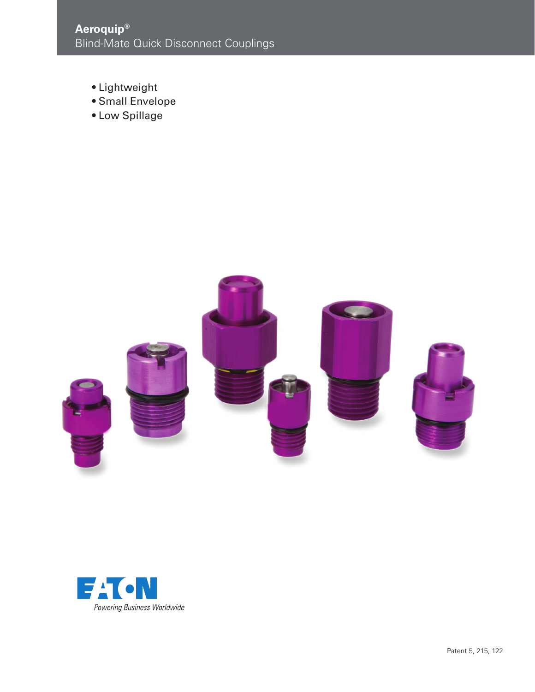- Lightweight
- Small Envelope
- Low Spillage



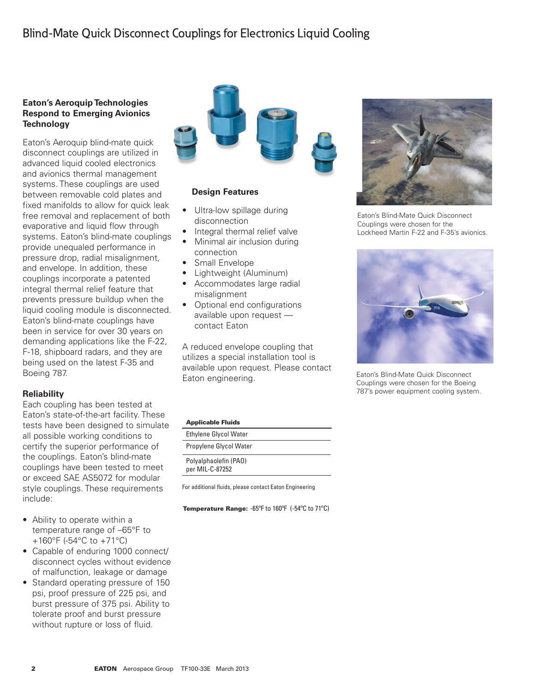# **Eaton's Aeroquip Technologies Respond to Emerging Avionics Technology**

Eaton's Aeroquip blind-mate quick disconnect couplings are utilized in advanced liquid cooled electronics and avionics thermal management systems. These couplings are used between removable cold plates and fixed manifolds to allow for quick leak free removal and replacement of both evaporative and liquid flow through systems. Eaton's blind-mate couplings provide unequaled performance in pressure drop, radial misalignment, and envelope. In addition, these couplings incorporate a patented integral thermal relief feature that prevents pressure buildup when the liquid cooling module is disconnected. Eaton's blind-mate couplings have been in service for over 30 years on demanding applications like the F-22, F-18, shipboard radars, and they are being used on the latest F-35 and Boeing 787.

# **Reliability**

Each coupling has been tested at Eaton's state-of-the-art facility. These tests have been designed to simulate all possible working conditions to certify the superior performance of the couplings. Eaton's blind-mate couplings have been tested to meet or exceed SAE AS5072 for modular style couplings. These requirements include:

- Ability to operate within a temperature range of –65°F to +160°F (-54°C to +71°C)
- Capable of enduring 1000 connect/ disconnect cycles without evidence of malfunction, leakage or damage
- Standard operating pressure of 150 psi, proof pressure of 225 psi, and burst pressure of 375 psi. Ability to tolerate proof and burst pressure without rupture or loss of fluid.



# **Design Features**

- Ultra-low spillage during disconnection
- Integral thermal relief valve
- Minimal air inclusion during connection
- Small Envelope
- • Lightweight (Aluminum)
- Accommodates large radial misalignment
- Optional end configurations available upon request contact Eaton

A reduced envelope coupling that utilizes a special installation tool is available upon request. Please contact Eaton engineering.

Eaton's Blind-Mate Quick Disconnect Couplings were chosen for the Lockheed Martin F-22 and F-35's avionics.



Eaton's Blind-Mate Quick Disconnect Couplings were chosen for the Boeing 787's power equipment cooling system.

### Applicable Fluids

| <b>Ethylene Glycol Water</b>             |  |
|------------------------------------------|--|
| Propylene Glycol Water                   |  |
| Polyalphaolefin (PAO)<br>per MIL-C-87252 |  |
|                                          |  |

For additional fluids, please contact Eaton Engineering

Temperature Range: -65ºF to 160ºF (-54ºC to 71ºC)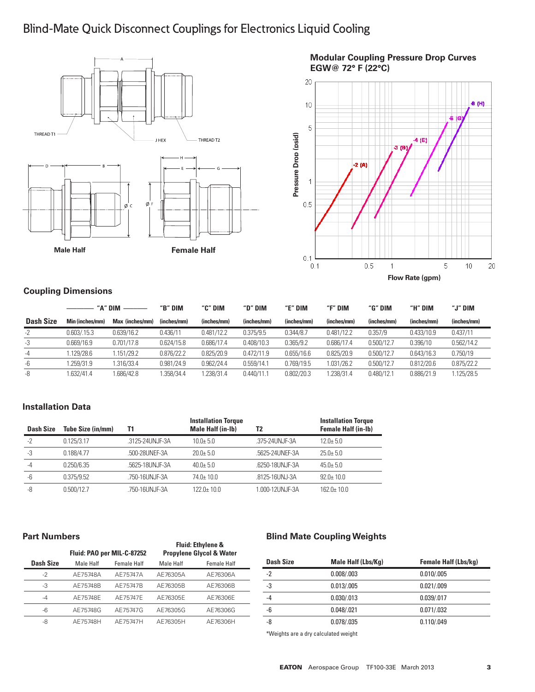# Blind-Mate Quick Disconnect Couplings for Electronics Liquid Cooling





# **Coupling Dimensions**

|                  | "A" DIM         |                 | "B" DIM     | "C" DIM     | "D" DIM     | "E" DIM     | "F" DIM     | "G" DIM     | "H" DIM     | "J" DIM     |
|------------------|-----------------|-----------------|-------------|-------------|-------------|-------------|-------------|-------------|-------------|-------------|
| <b>Dash Size</b> | Min (inches/mm) | Max (inches/mm) | (inches/mm) | (inches/mm) | (inches/mm) | (inches/mm) | (inches/mm) | (inches/mm) | (inches/mm) | (inches/mm) |
| $-2$             | 0.603/0.15.3    | 0.639/16.2      | 0.436/11    | 0.481/12.2  | 0.375/9.5   | 0.344/8.7   | 0.481/12.2  | 0.357/9     | 0.433/10.9  | 0.437/11    |
| -3               | 0.669/16.9      | 0.701/17.8      | 0.624/15.8  | 0.686/17.4  | 0.408/10.3  | 0.365/9.2   | 0.686/17.4  | 0.500/12.7  | 0.396/10    | 0.562/14.2  |
| $-4$             | .129/28.6       | .151/29.2       | 0.876/22.2  | 0.825/20.9  | 0.472/11.9  | 0.655/16.6  | 0.825/20.9  | 0.500/12.7  | 0.643/16.3  | 0.750/19    |
| -6               | .259/31.9       | .316/33.4       | 0.981/24.9  | 0.962/24.4  | 0.559/14.1  | 0.769/19.5  | 1.031/26.2  | 0.500/12.7  | 0.812/20.6  | 0.875/22.2  |
| -8               | .632/41.4       | .686/42.8       | .358/34.4   | .238/31.4   | 0.440/11.1  | 0.802/20.3  | .238/31.4   | 0.480/12.1  | 0.886/21.9  | .125/28.5   |

# **Installation Data**

| <b>Dash Size</b> | Tube Size (in/mm) | Τ1              | <b>Installation Torque</b><br><b>Male Half (in-Ib)</b> | T2              | <b>Installation Torque</b><br><b>Female Half (in-Ib)</b> |
|------------------|-------------------|-----------------|--------------------------------------------------------|-----------------|----------------------------------------------------------|
| $-2$             | 0.125/3.17        | .3125-24UNJF-3A | $10.0 + 5.0$                                           | 375-24UNJF-3A   | $12.0 + 5.0$                                             |
| -3               | 0.188/4.77        | .500-28UNEF-3A  | $20.0 + 5.0$                                           | .5625-24UNEF-3A | $25.0 + 5.0$                                             |
| $-4$             | 0.250/6.35        | .5625-18UNJF-3A | $40.0 + 5.0$                                           | .6250-18UNJF-3A | $45.0 + 5.0$                                             |
| -6               | 0.375/9.52        | .750-16UNJF-3A  | $74.0 \pm 10.0$                                        | .8125-16UNJ-3A  | $92.0 \pm 10.0$                                          |
| -8               | 0.500/12.7        | .750-16UNJF-3A  | 122 0+ 10.0                                            | 1.000-12UNJF-3A | $162.0 \pm 10.0$                                         |

## **Part Numbers**

| I GIL IVUIIIDUIJ<br>Dash Size | Male Half | Fluid: PAO per MIL-C-87252<br><b>Female Half</b> | Male Half | <b>Fluid: Ethylene &amp;</b><br><b>Propylene Glycol &amp; Water</b><br><b>Female Half</b> |
|-------------------------------|-----------|--------------------------------------------------|-----------|-------------------------------------------------------------------------------------------|
| $-2$                          | AE75748A  | AE75747A                                         | AE76305A  | AE76306A                                                                                  |
| -3                            | AE75748B  | AE75747B                                         | AE76305B  | AE76306B                                                                                  |
| -4                            | AE75748E  | AE75747E                                         | AE76305E  | AE76306E                                                                                  |
| -6                            | AE75748G  | AE75747G                                         | AE76305G  | AE76306G                                                                                  |
| -8                            | AE75748H  | AE75747H                                         | AE76305H  | AE76306H                                                                                  |

# **Blind Mate Coupling Weights**

| <b>Dash Size</b> | Male Half (Lbs/Kg) | <b>Female Half (Lbs/kg)</b> |
|------------------|--------------------|-----------------------------|
| $-2$             | 0.008/003          | 0.010/0.005                 |
| -3               | 0.013/005          | 0.021/.009                  |
| $-4$             | 0.030/0.013        | 0.039/.017                  |
| -6               | 0.048/021          | 0.071/.032                  |
| -8               | 0.078/035          | 0.110/0.049                 |
|                  |                    |                             |

\*Weights are a dry calculated weight